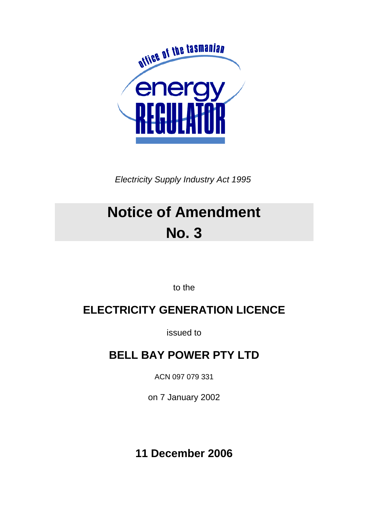

*Electricity Supply Industry Act 1995* 

# **Notice of Amendment No. 3**

to the

# **ELECTRICITY GENERATION LICENCE**

issued to

# **BELL BAY POWER PTY LTD**

ACN 097 079 331

on 7 January 2002

**11 December 2006**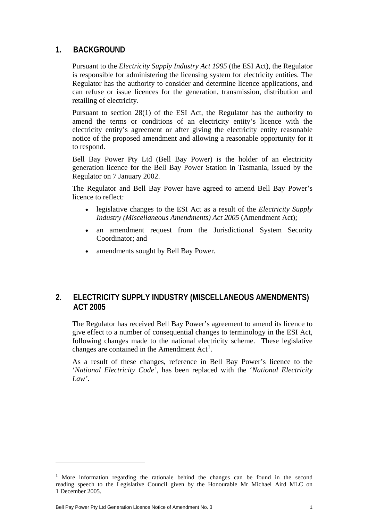#### **1. BACKGROUND**

Pursuant to the *Electricity Supply Industry Act 1995* (the ESI Act), the Regulator is responsible for administering the licensing system for electricity entities. The Regulator has the authority to consider and determine licence applications, and can refuse or issue licences for the generation, transmission, distribution and retailing of electricity.

Pursuant to section 28(1) of the ESI Act, the Regulator has the authority to amend the terms or conditions of an electricity entity's licence with the electricity entity's agreement or after giving the electricity entity reasonable notice of the proposed amendment and allowing a reasonable opportunity for it to respond.

Bell Bay Power Pty Ltd (Bell Bay Power) is the holder of an electricity generation licence for the Bell Bay Power Station in Tasmania, issued by the Regulator on 7 January 2002.

The Regulator and Bell Bay Power have agreed to amend Bell Bay Power's licence to reflect:

- legislative changes to the ESI Act as a result of the *Electricity Supply Industry (Miscellaneous Amendments) Act 2005* (Amendment Act);
- an amendment request from the Jurisdictional System Security Coordinator; and
- amendments sought by Bell Bay Power.

#### **2. ELECTRICITY SUPPLY INDUSTRY (MISCELLANEOUS AMENDMENTS) ACT 2005**

The Regulator has received Bell Bay Power's agreement to amend its licence to give effect to a number of consequential changes to terminology in the ESI Act, following changes made to the national electricity scheme. These legislative changes are contained in the Amendment  $Act<sup>1</sup>$  $Act<sup>1</sup>$  $Act<sup>1</sup>$ .

As a result of these changes, reference in Bell Bay Power's licence to the '*National Electricity Code'*, has been replaced with the '*National Electricity Law'*.

<span id="page-1-0"></span><sup>&</sup>lt;sup>1</sup> More information regarding the rationale behind the changes can be found in the second reading speech to the Legislative Council given by the Honourable Mr Michael Aird MLC on 1 December 2005.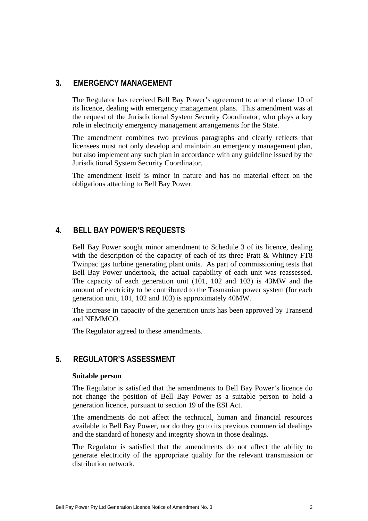#### **3. EMERGENCY MANAGEMENT**

The Regulator has received Bell Bay Power's agreement to amend clause 10 of its licence, dealing with emergency management plans. This amendment was at the request of the Jurisdictional System Security Coordinator, who plays a key role in electricity emergency management arrangements for the State.

The amendment combines two previous paragraphs and clearly reflects that licensees must not only develop and maintain an emergency management plan, but also implement any such plan in accordance with any guideline issued by the Jurisdictional System Security Coordinator.

The amendment itself is minor in nature and has no material effect on the obligations attaching to Bell Bay Power.

#### **4. BELL BAY POWER'S REQUESTS**

Bell Bay Power sought minor amendment to Schedule 3 of its licence, dealing with the description of the capacity of each of its three Pratt & Whitney FT8 Twinpac gas turbine generating plant units. As part of commissioning tests that Bell Bay Power undertook, the actual capability of each unit was reassessed. The capacity of each generation unit  $(101, 102, 103)$  is 43MW and the amount of electricity to be contributed to the Tasmanian power system (for each generation unit, 101, 102 and 103) is approximately 40MW.

The increase in capacity of the generation units has been approved by Transend and NEMMCO.

The Regulator agreed to these amendments.

#### **5. REGULATOR'S ASSESSMENT**

#### **Suitable person**

The Regulator is satisfied that the amendments to Bell Bay Power's licence do not change the position of Bell Bay Power as a suitable person to hold a generation licence, pursuant to section 19 of the ESI Act.

The amendments do not affect the technical, human and financial resources available to Bell Bay Power, nor do they go to its previous commercial dealings and the standard of honesty and integrity shown in those dealings.

The Regulator is satisfied that the amendments do not affect the ability to generate electricity of the appropriate quality for the relevant transmission or distribution network.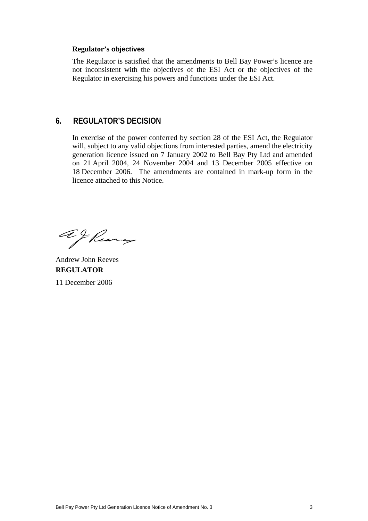#### **Regulator's objectives**

The Regulator is satisfied that the amendments to Bell Bay Power's licence are not inconsistent with the objectives of the ESI Act or the objectives of the Regulator in exercising his powers and functions under the ESI Act.

#### **6. REGULATOR'S DECISION**

In exercise of the power conferred by section 28 of the ESI Act, the Regulator will, subject to any valid objections from interested parties, amend the electricity generation licence issued on 7 January 2002 to Bell Bay Pty Ltd and amended on 21 April 2004, 24 November 2004 and 13 December 2005 effective on 18 December 2006. The amendments are contained in mark-up form in the licence attached to this Notice.

afkung

Andrew John Reeves **REGULATOR**  11 December 2006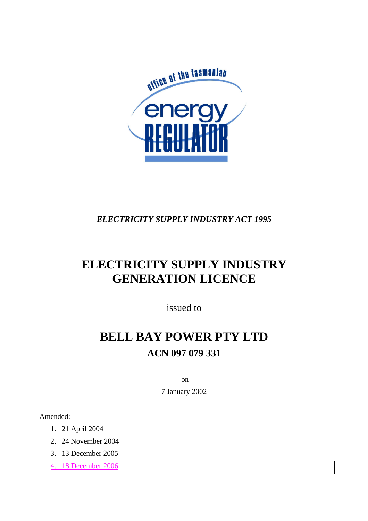

# *ELECTRICITY SUPPLY INDUSTRY ACT 1995*

# **ELECTRICITY SUPPLY INDUSTRY GENERATION LICENCE**

issued to

# **BELL BAY POWER PTY LTD ACN 097 079 331**

on

7 January 2002

Amended:

- 1. 21 April 2004
- 2. 24 November 2004
- 3. 13 December 2005
- 4. 18 December 2006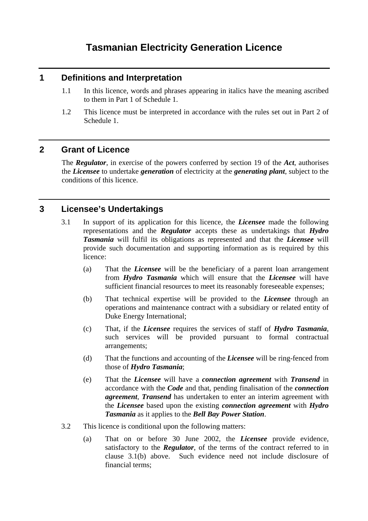# **Tasmanian Electricity Generation Licence**

#### **1 Definitions and Interpretation**

- 1.1 In this licence, words and phrases appearing in italics have the meaning ascribed to them in Part 1 of Schedule 1.
- 1.2 This licence must be interpreted in accordance with the rules set out in Part 2 of Schedule 1.

#### **2 Grant of Licence**

The *Regulator*, in exercise of the powers conferred by section 19 of the *Act*, authorises the *Licensee* to undertake *generation* of electricity at the *generating plant*, subject to the conditions of this licence.

### **3 Licensee's Undertakings**

- 3.1 In support of its application for this licence, the *Licensee* made the following representations and the *Regulator* accepts these as undertakings that *Hydro Tasmania* will fulfil its obligations as represented and that the *Licensee* will provide such documentation and supporting information as is required by this licence:
	- (a) That the *Licensee* will be the beneficiary of a parent loan arrangement from *Hydro Tasmania* which will ensure that the *Licensee* will have sufficient financial resources to meet its reasonably foreseeable expenses;
	- (b) That technical expertise will be provided to the *Licensee* through an operations and maintenance contract with a subsidiary or related entity of Duke Energy International;
	- (c) That, if the *Licensee* requires the services of staff of *Hydro Tasmania*, such services will be provided pursuant to formal contractual arrangements;
	- (d) That the functions and accounting of the *Licensee* will be ring-fenced from those of *Hydro Tasmania*;
	- (e) That the *Licensee* will have a *connection agreement* with *Transend* in accordance with the *Code* and that, pending finalisation of the *connection agreement*, *Transend* has undertaken to enter an interim agreement with the *Licensee* based upon the existing *connection agreement* with *Hydro Tasmania* as it applies to the *Bell Bay Power Station*.
- 3.2 This licence is conditional upon the following matters:
	- (a) That on or before 30 June 2002, the *Licensee* provide evidence, satisfactory to the *Regulator*, of the terms of the contract referred to in clause 3.1(b) above. Such evidence need not include disclosure of financial terms;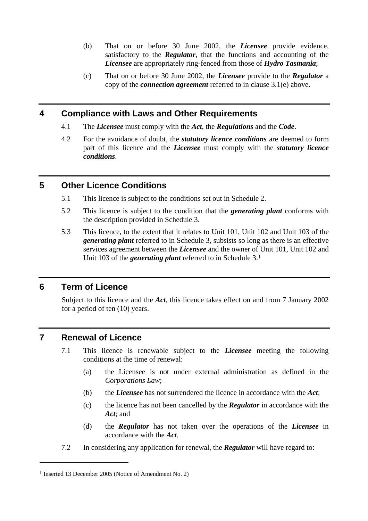- (b) That on or before 30 June 2002, the *Licensee* provide evidence, satisfactory to the *Regulator*, that the functions and accounting of the *Licensee* are appropriately ring-fenced from those of *Hydro Tasmania*;
- (c) That on or before 30 June 2002, the *Licensee* provide to the *Regulator* a copy of the *connection agreement* referred to in clause 3.1(e) above.

#### **4 Compliance with Laws and Other Requirements**

- 4.1 The *Licensee* must comply with the *Act*, the *Regulations* and the *Code*.
- 4.2 For the avoidance of doubt, the *statutory licence conditions* are deemed to form part of this licence and the *Licensee* must comply with the *statutory licence conditions*.

#### **5 Other Licence Conditions**

- 5.1 This licence is subject to the conditions set out in Schedule 2.
- 5.2 This licence is subject to the condition that the *generating plant* conforms with the description provided in Schedule 3.
- 5.3 This licence, to the extent that it relates to Unit 101, Unit 102 and Unit 103 of the *generating plant* referred to in Schedule 3, subsists so long as there is an effective services agreement between the *Licensee* and the owner of Unit 101, Unit 102 and Unit 103 of the *generating plant* referred to in Schedule 3.[1](#page-6-0)

#### **6 Term of Licence**

Subject to this licence and the *Act*, this licence takes effect on and from 7 January 2002 for a period of ten (10) years.

#### **7 Renewal of Licence**

- 7.1 This licence is renewable subject to the *Licensee* meeting the following conditions at the time of renewal:
	- (a) the Licensee is not under external administration as defined in the *Corporations Law*;
	- (b) the *Licensee* has not surrendered the licence in accordance with the *Act*;
	- (c) the licence has not been cancelled by the *Regulator* in accordance with the *Act*; and
	- (d) the *Regulator* has not taken over the operations of the *Licensee* in accordance with the *Act*.
- 7.2 In considering any application for renewal, the *Regulator* will have regard to:

<span id="page-6-0"></span><sup>1</sup> Inserted 13 December 2005 (Notice of Amendment No. 2)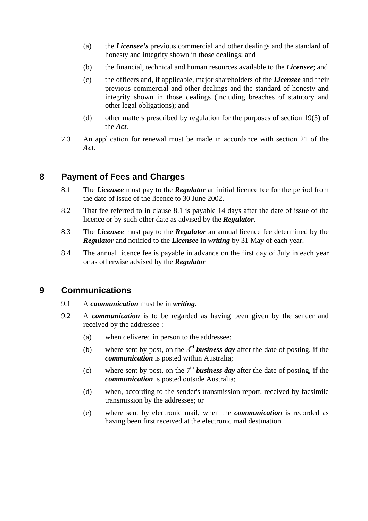- (a) the *Licensee's* previous commercial and other dealings and the standard of honesty and integrity shown in those dealings; and
- (b) the financial, technical and human resources available to the *Licensee*; and
- (c) the officers and, if applicable, major shareholders of the *Licensee* and their previous commercial and other dealings and the standard of honesty and integrity shown in those dealings (including breaches of statutory and other legal obligations); and
- (d) other matters prescribed by regulation for the purposes of section 19(3) of the *Act*.
- 7.3 An application for renewal must be made in accordance with section 21 of the *Act*.

### **8 Payment of Fees and Charges**

- 8.1 The *Licensee* must pay to the *Regulator* an initial licence fee for the period from the date of issue of the licence to 30 June 2002.
- 8.2 That fee referred to in clause 8.1 is payable 14 days after the date of issue of the licence or by such other date as advised by the *Regulator*.
- 8.3 The *Licensee* must pay to the *Regulator* an annual licence fee determined by the *Regulator* and notified to the *Licensee* in *writing* by 31 May of each year.
- 8.4 The annual licence fee is payable in advance on the first day of July in each year or as otherwise advised by the *Regulator*

#### **9 Communications**

- 9.1 A *communication* must be in *writing*.
- 9.2 A *communication* is to be regarded as having been given by the sender and received by the addressee :
	- (a) when delivered in person to the addressee;
	- (b) where sent by post, on the 3rd *business day* after the date of posting, if the *communication* is posted within Australia;
	- (c) where sent by post, on the  $7<sup>th</sup>$  **business day** after the date of posting, if the *communication* is posted outside Australia;
	- (d) when, according to the sender's transmission report, received by facsimile transmission by the addressee; or
	- (e) where sent by electronic mail, when the *communication* is recorded as having been first received at the electronic mail destination.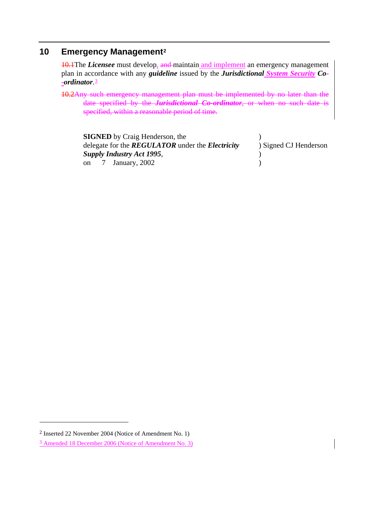### **10 Emergency Management[2](#page-8-0)**

10.1The *Licensee* must develop, and maintain and implement an emergency management plan in accordance with any *guideline* issued by the *Jurisdictional System Security Co- -ordinator*.[3](#page-8-1)

10.2Any such emergency management plan must be implemented by no later than the date specified by the *Jurisdictional Co-ordinator*, or when no such date is specified, within a reasonable period of time.

| <b>SIGNED</b> by Craig Henderson, the                          |                       |
|----------------------------------------------------------------|-----------------------|
| delegate for the <b>REGULATOR</b> under the <b>Electricity</b> | ) Signed CJ Henderson |
| Supply Industry Act 1995,                                      |                       |
| on $\frac{7}{2}$ January, 2002                                 |                       |

<span id="page-8-0"></span><sup>2</sup> Inserted 22 November 2004 (Notice of Amendment No. 1)

<span id="page-8-1"></span><sup>3</sup> Amended 18 December 2006 (Notice of Amendment No. 3)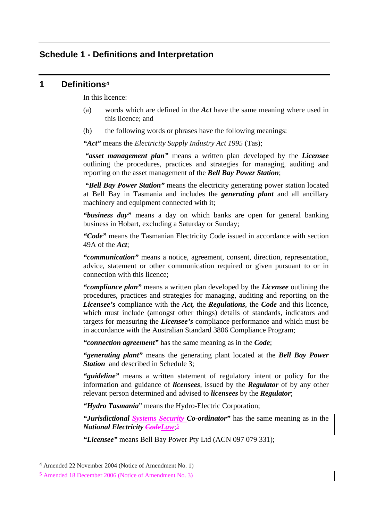#### **Schedule 1 - Definitions and Interpretation**

#### **1 Definitions[4](#page-9-0)**

In this licence:

- (a) words which are defined in the *Act* have the same meaning where used in this licence; and
- (b) the following words or phrases have the following meanings:

*"Act"* means the *Electricity Supply Industry Act 1995* (Tas);

*"asset management plan"* means a written plan developed by the *Licensee* outlining the procedures, practices and strategies for managing, auditing and reporting on the asset management of the *Bell Bay Power Station*;

 *"Bell Bay Power Station"* means the electricity generating power station located at Bell Bay in Tasmania and includes the *generating plant* and all ancillary machinery and equipment connected with it;

*"business day"* means a day on which banks are open for general banking business in Hobart, excluding a Saturday or Sunday;

*"Code"* means the Tasmanian Electricity Code issued in accordance with section 49A of the *Act*;

*"communication"* means a notice, agreement, consent, direction, representation, advice, statement or other communication required or given pursuant to or in connection with this licence;

*"compliance plan"* means a written plan developed by the *Licensee* outlining the procedures, practices and strategies for managing, auditing and reporting on the *Licensee's* compliance with the *Act,* the *Regulations*, the *Code* and this licence, which must include (amongst other things) details of standards, indicators and targets for measuring the *Licensee's* compliance performance and which must be in accordance with the Australian Standard 3806 Compliance Program;

*"connection agreement"* has the same meaning as in the *Code*;

*"generating plant"* means the generating plant located at the *Bell Bay Power*  **Station** and described in Schedule 3:

*"guideline"* means a written statement of regulatory intent or policy for the information and guidance of *licensees*, issued by the *Regulator* of by any other relevant person determined and advised to *licensees* by the *Regulator*;

*"Hydro Tasmania*" means the Hydro-Electric Corporation;

*"Jurisdictional Systems Security Co-ordinator"* has the same meaning as in the *National Electricity CodeLaw*;[5](#page-9-1)

*"Licensee"* means Bell Bay Power Pty Ltd (ACN 097 079 331);

<span id="page-9-0"></span><sup>4</sup> Amended 22 November 2004 (Notice of Amendment No. 1)

<span id="page-9-1"></span><sup>5</sup> Amended 18 December 2006 (Notice of Amendment No. 3)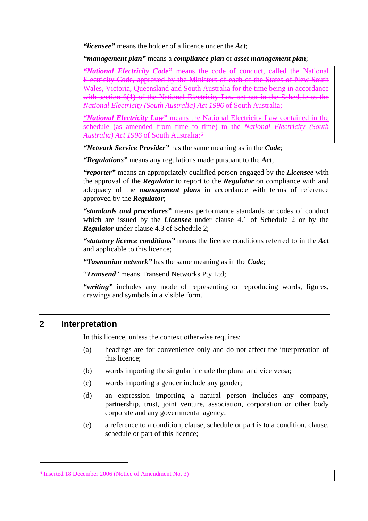*"licensee"* means the holder of a licence under the *Act*;

*"management plan"* means a *compliance plan* or *asset management plan*;

*"National Electricity Code"* means the code of conduct, called the National Electricity Code, approved by the Ministers of each of the States of New South Wales, Victoria, Queensland and South Australia for the time being in accordance with section 6(1) of the National Electricity Law set out in the Schedule to the *National Electricity (South Australia) Act 1996* of South Australia;

*"National Electricity Law"* means the National Electricity Law contained in the schedule (as amended from time to time) to the *National Electricity (South Australia) Act 1996* of South Australia;[6](#page-10-0)

*"Network Service Provider"* has the same meaning as in the *Code*;

*"Regulations"* means any regulations made pursuant to the *Act*;

*"reporter"* means an appropriately qualified person engaged by the *Licensee* with the approval of the *Regulator* to report to the *Regulator* on compliance with and adequacy of the *management plans* in accordance with terms of reference approved by the *Regulator*;

*"standards and procedures"* means performance standards or codes of conduct which are issued by the *Licensee* under clause 4.1 of Schedule 2 or by the *Regulator* under clause 4.3 of Schedule 2;

*"statutory licence conditions"* means the licence conditions referred to in the *Act*  and applicable to this licence;

*"Tasmanian network"* has the same meaning as in the *Code*;

"*Transend*" means Transend Networks Pty Ltd;

*"writing"* includes any mode of representing or reproducing words, figures, drawings and symbols in a visible form.

#### **2 Interpretation**

 $\overline{a}$ 

In this licence, unless the context otherwise requires:

- (a) headings are for convenience only and do not affect the interpretation of this licence;
- (b) words importing the singular include the plural and vice versa;
- (c) words importing a gender include any gender;
- (d) an expression importing a natural person includes any company, partnership, trust, joint venture, association, corporation or other body corporate and any governmental agency;
- (e) a reference to a condition, clause, schedule or part is to a condition, clause, schedule or part of this licence;

<span id="page-10-0"></span><sup>6</sup> Inserted 18 December 2006 (Notice of Amendment No. 3)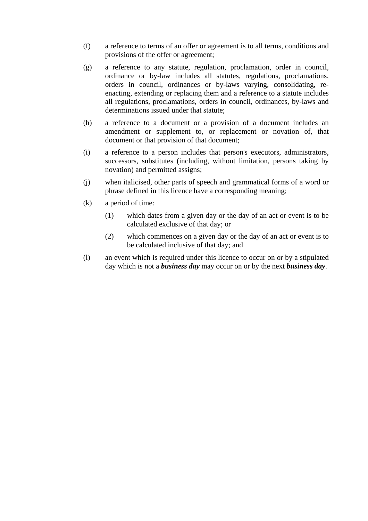- (f) a reference to terms of an offer or agreement is to all terms, conditions and provisions of the offer or agreement;
- (g) a reference to any statute, regulation, proclamation, order in council, ordinance or by-law includes all statutes, regulations, proclamations, orders in council, ordinances or by-laws varying, consolidating, reenacting, extending or replacing them and a reference to a statute includes all regulations, proclamations, orders in council, ordinances, by-laws and determinations issued under that statute;
- (h) a reference to a document or a provision of a document includes an amendment or supplement to, or replacement or novation of, that document or that provision of that document;
- (i) a reference to a person includes that person's executors, administrators, successors, substitutes (including, without limitation, persons taking by novation) and permitted assigns;
- (j) when italicised, other parts of speech and grammatical forms of a word or phrase defined in this licence have a corresponding meaning;
- (k) a period of time:
	- (1) which dates from a given day or the day of an act or event is to be calculated exclusive of that day; or
	- (2) which commences on a given day or the day of an act or event is to be calculated inclusive of that day; and
- (l) an event which is required under this licence to occur on or by a stipulated day which is not a *business day* may occur on or by the next *business day*.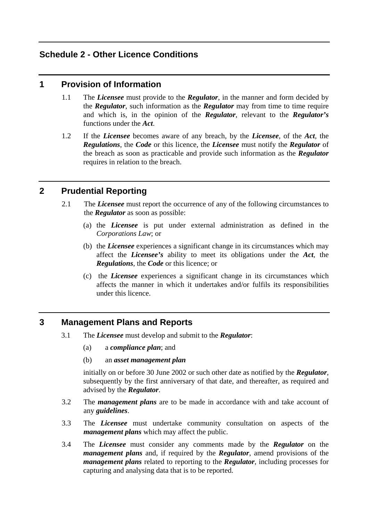# **Schedule 2 - Other Licence Conditions**

#### **1 Provision of Information**

- 1.1 The *Licensee* must provide to the *Regulator*, in the manner and form decided by the *Regulator*, such information as the *Regulator* may from time to time require and which is, in the opinion of the *Regulator*, relevant to the *Regulator's*  functions under the *Act*.
- 1.2 If the *Licensee* becomes aware of any breach, by the *Licensee*, of the *Act*, the *Regulations*, the *Code* or this licence, the *Licensee* must notify the *Regulator* of the breach as soon as practicable and provide such information as the *Regulator*  requires in relation to the breach.

### **2 Prudential Reporting**

- 2.1 The *Licensee* must report the occurrence of any of the following circumstances to the *Regulator* as soon as possible:
	- (a) the *Licensee* is put under external administration as defined in the *Corporations Law*; or
	- (b) the *Licensee* experiences a significant change in its circumstances which may affect the *Licensee's* ability to meet its obligations under the *Act*, the *Regulations*, the *Code* or this licence; or
	- (c) the *Licensee* experiences a significant change in its circumstances which affects the manner in which it undertakes and/or fulfils its responsibilities under this licence.

#### **3 Management Plans and Reports**

- 3.1 The *Licensee* must develop and submit to the *Regulator*:
	- (a) a *compliance plan*; and
	- (b) an *asset management plan*

initially on or before 30 June 2002 or such other date as notified by the *Regulator*, subsequently by the first anniversary of that date, and thereafter, as required and advised by the *Regulator*.

- 3.2 The *management plans* are to be made in accordance with and take account of any *guidelines*.
- 3.3 The *Licensee* must undertake community consultation on aspects of the *management plans* which may affect the public.
- 3.4 The *Licensee* must consider any comments made by the *Regulator* on the *management plans* and, if required by the *Regulator*, amend provisions of the *management plans* related to reporting to the *Regulator*, including processes for capturing and analysing data that is to be reported.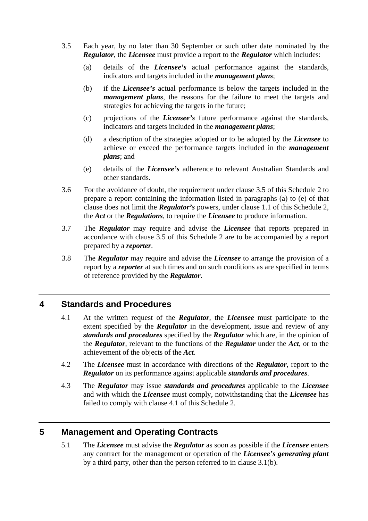- 3.5 Each year, by no later than 30 September or such other date nominated by the *Regulator*, the *Licensee* must provide a report to the *Regulator* which includes:
	- (a) details of the *Licensee's* actual performance against the standards, indicators and targets included in the *management plans*;
	- (b) if the *Licensee's* actual performance is below the targets included in the *management plans*, the reasons for the failure to meet the targets and strategies for achieving the targets in the future;
	- (c) projections of the *Licensee's* future performance against the standards, indicators and targets included in the *management plans*;
	- (d) a description of the strategies adopted or to be adopted by the *Licensee* to achieve or exceed the performance targets included in the *management plans*; and
	- (e) details of the *Licensee's* adherence to relevant Australian Standards and other standards.
- 3.6 For the avoidance of doubt, the requirement under clause 3.5 of this Schedule 2 to prepare a report containing the information listed in paragraphs (a) to (e) of that clause does not limit the *Regulator's* powers, under clause 1.1 of this Schedule 2, the *Act* or the *Regulations*, to require the *Licensee* to produce information.
- 3.7 The *Regulator* may require and advise the *Licensee* that reports prepared in accordance with clause 3.5 of this Schedule 2 are to be accompanied by a report prepared by a *reporter*.
- 3.8 The *Regulator* may require and advise the *Licensee* to arrange the provision of a report by a *reporter* at such times and on such conditions as are specified in terms of reference provided by the *Regulator*.

#### **4 Standards and Procedures**

- 4.1 At the written request of the *Regulator*, the *Licensee* must participate to the extent specified by the *Regulator* in the development, issue and review of any *standards and procedures* specified by the *Regulator* which are, in the opinion of the *Regulator*, relevant to the functions of the *Regulator* under the *Act*, or to the achievement of the objects of the *Act*.
- 4.2 The *Licensee* must in accordance with directions of the *Regulator*, report to the *Regulator* on its performance against applicable *standards and procedures*.
- 4.3 The *Regulator* may issue *standards and procedures* applicable to the *Licensee* and with which the *Licensee* must comply, notwithstanding that the *Licensee* has failed to comply with clause 4.1 of this Schedule 2.

# **5 Management and Operating Contracts**

5.1 The *Licensee* must advise the *Regulator* as soon as possible if the *Licensee* enters any contract for the management or operation of the *Licensee's generating plant* by a third party, other than the person referred to in clause 3.1(b).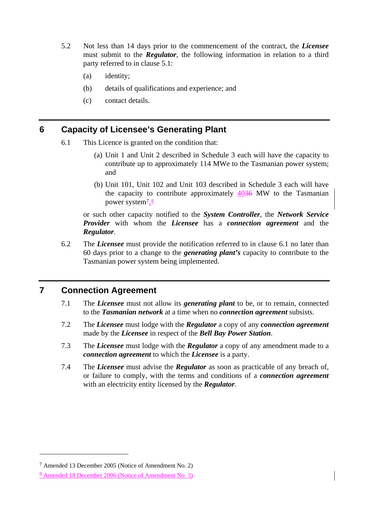- 5.2 Not less than 14 days prior to the commencement of the contract, the *Licensee*  must submit to the *Regulator*, the following information in relation to a third party referred to in clause 5.1:
	- (a) identity;
	- (b) details of qualifications and experience; and
	- (c) contact details.

#### **6 Capacity of Licensee's Generating Plant**

- 6.1 This Licence is granted on the condition that:
	- (a) Unit 1 and Unit 2 described in Schedule 3 each will have the capacity to contribute up to approximately 114 MWe to the Tasmanian power system; and
	- (b) Unit 101, Unit 102 and Unit 103 described in Schedule 3 each will have the capacity to contribute approximately 4036 MW to the Tasmanian power system<sup>[7](#page-14-0), $\frac{8}{3}$  $\frac{8}{3}$  $\frac{8}{3}$ </sup>

or such other capacity notified to the *System Controller*, the *Network Service Provider* with whom the *Licensee* has a *connection agreement* and the *Regulator*.

6.2 The *Licensee* must provide the notification referred to in clause 6.1 no later than 60 days prior to a change to the *generating plant's* capacity to contribute to the Tasmanian power system being implemented.

#### **7 Connection Agreement**

- 7.1 The *Licensee* must not allow its *generating plant* to be, or to remain, connected to the *Tasmanian network* at a time when no *connection agreement* subsists.
- 7.2 The *Licensee* must lodge with the *Regulator* a copy of any *connection agreement*  made by the *Licensee* in respect of the *Bell Bay Power Station*.
- 7.3 The *Licensee* must lodge with the *Regulator* a copy of any amendment made to a *connection agreement* to which the *Licensee* is a party.
- 7.4 The *Licensee* must advise the *Regulator* as soon as practicable of any breach of, or failure to comply, with the terms and conditions of a *connection agreement* with an electricity entity licensed by the *Regulator*.

<span id="page-14-0"></span><sup>7</sup> Amended 13 December 2005 (Notice of Amendment No. 2)

<span id="page-14-1"></span><sup>8</sup> Amended 18 December 2006 (Notice of Amendment No. 3)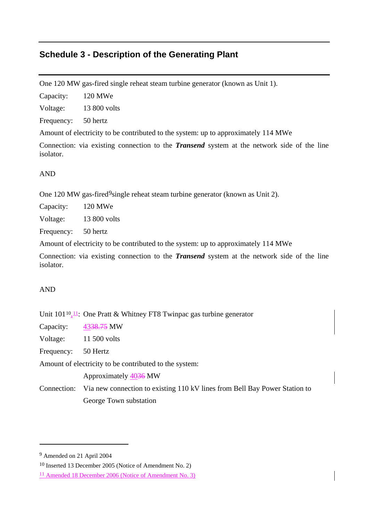# **Schedule 3 - Description of the Generating Plant**

One 120 MW gas-fired single reheat steam turbine generator (known as Unit 1).

Capacity: 120 MWe

Voltage: 13 800 volts

Frequency: 50 hertz

Amount of electricity to be contributed to the system: up to approximately 114 MWe

Connection: via existing connection to the *Transend* system at the network side of the line isolator.

#### AND

One 120 MW gas-fired<sup>9</sup>single reheat steam turbine generator (known as Unit 2).

Capacity: 120 MWe

Voltage: 13 800 volts

Frequency: 50 hertz

Amount of electricity to be contributed to the system: up to approximately 114 MWe

Connection: via existing connection to the *Transend* system at the network side of the line isolator.

#### AND

Unit  $101^{10}$  $101^{10}$  $101^{10}$ ,  $\overline{11}$ : One Pratt & Whitney FT8 Twinpac gas turbine generator

Capacity: 4338.75 MW

Voltage: 11 500 volts

Frequency: 50 Hertz

Amount of electricity to be contributed to the system:

Approximately 4036 MW

Connection: Via new connection to existing 110 kV lines from Bell Bay Power Station to George Town substation

<span id="page-15-0"></span><sup>9</sup> Amended on 21 April 2004

<span id="page-15-1"></span><sup>10</sup> Inserted 13 December 2005 (Notice of Amendment No. 2)

<span id="page-15-2"></span><sup>11</sup> Amended 18 December 2006 (Notice of Amendment No. 3)